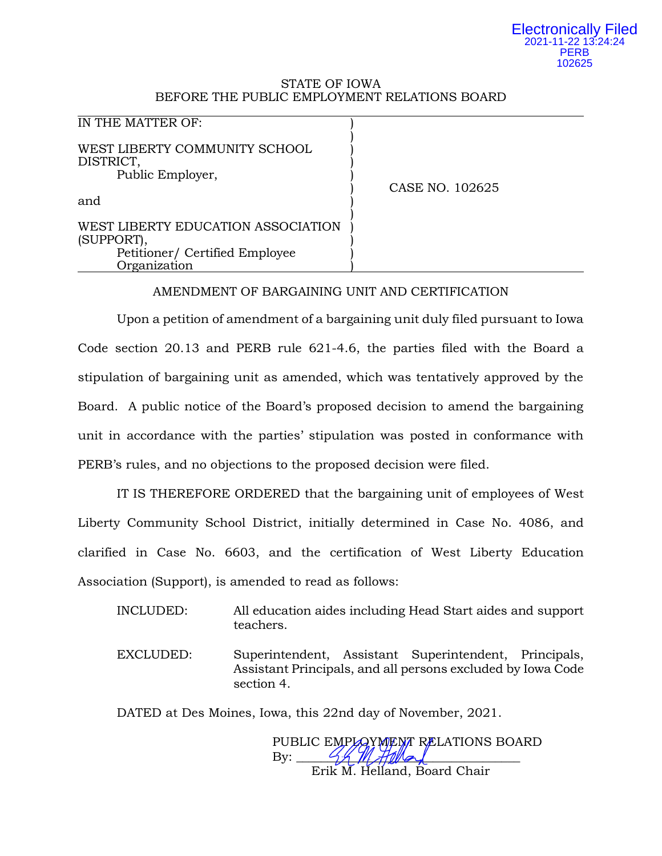#### Electronically Filed 2021-11-22 13:24:24 PERB 102625

## STATE OF IOWA BEFORE THE PUBLIC EMPLOYMENT RELATIONS BOARD

| IN THE MATTER OF:                                                                                 |                 |
|---------------------------------------------------------------------------------------------------|-----------------|
| WEST LIBERTY COMMUNITY SCHOOL<br>DISTRICT,<br>Public Employer,                                    | CASE NO. 102625 |
| and                                                                                               |                 |
| WEST LIBERTY EDUCATION ASSOCIATION<br>(SUPPORT)<br>Petitioner/ Certified Employee<br>Organization |                 |
|                                                                                                   |                 |

## AMENDMENT OF BARGAINING UNIT AND CERTIFICATION

Upon a petition of amendment of a bargaining unit duly filed pursuant to Iowa Code section 20.13 and PERB rule 621-4.6, the parties filed with the Board a stipulation of bargaining unit as amended, which was tentatively approved by the Board. A public notice of the Board's proposed decision to amend the bargaining unit in accordance with the parties' stipulation was posted in conformance with PERB's rules, and no objections to the proposed decision were filed.

IT IS THEREFORE ORDERED that the bargaining unit of employees of West Liberty Community School District, initially determined in Case No. 4086, and clarified in Case No. 6603, and the certification of West Liberty Education Association (Support), is amended to read as follows:

- INCLUDED: All education aides including Head Start aides and support teachers.
- EXCLUDED: Superintendent, Assistant Superintendent, Principals, Assistant Principals, and all persons excluded by Iowa Code section 4.

DATED at Des Moines, Iowa, this 22nd day of November, 2021.

PUBLIC EMPLOYMENT RELATIONS BOARD By:  $\sqcup$ Erik M. Helland, Board Chair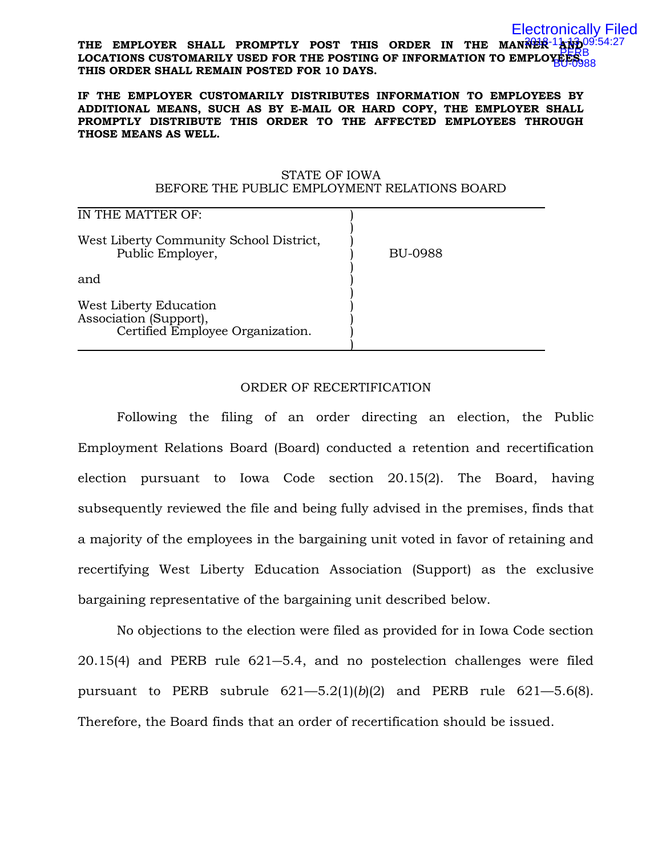#### THE EMPLOYER SHALL PROMPTLY POST THIS ORDER IN THE MANNER 1And 15-127 **LOCATIONS CUSTOMARILY USED FOR THE POSTING OF INFORMATION TO EMPLOYEES.**  PERB **THIS ORDER SHALL REMAIN POSTED FOR 10 DAYS.** Electronically Filed BU-0988

#### **IF THE EMPLOYER CUSTOMARILY DISTRIBUTES INFORMATION TO EMPLOYEES BY ADDITIONAL MEANS, SUCH AS BY E-MAIL OR HARD COPY, THE EMPLOYER SHALL PROMPTLY DISTRIBUTE THIS ORDER TO THE AFFECTED EMPLOYEES THROUGH THOSE MEANS AS WELL.**

### STATE OF IOWA BEFORE THE PUBLIC EMPLOYMENT RELATIONS BOARD

| IN THE MATTER OF:                                                                    |                |
|--------------------------------------------------------------------------------------|----------------|
| West Liberty Community School District,<br>Public Employer,                          | <b>BU-0988</b> |
| and                                                                                  |                |
| West Liberty Education<br>Association (Support),<br>Certified Employee Organization. |                |

## ORDER OF RECERTIFICATION

Following the filing of an order directing an election, the Public Employment Relations Board (Board) conducted a retention and recertification election pursuant to Iowa Code section 20.15(2). The Board, having subsequently reviewed the file and being fully advised in the premises, finds that a majority of the employees in the bargaining unit voted in favor of retaining and recertifying West Liberty Education Association (Support) as the exclusive bargaining representative of the bargaining unit described below.

No objections to the election were filed as provided for in Iowa Code section 20.15(4) and PERB rule 621―5.4, and no postelection challenges were filed pursuant to PERB subrule  $621-5.2(1)(b)(2)$  and PERB rule  $621-5.6(8)$ . Therefore, the Board finds that an order of recertification should be issued.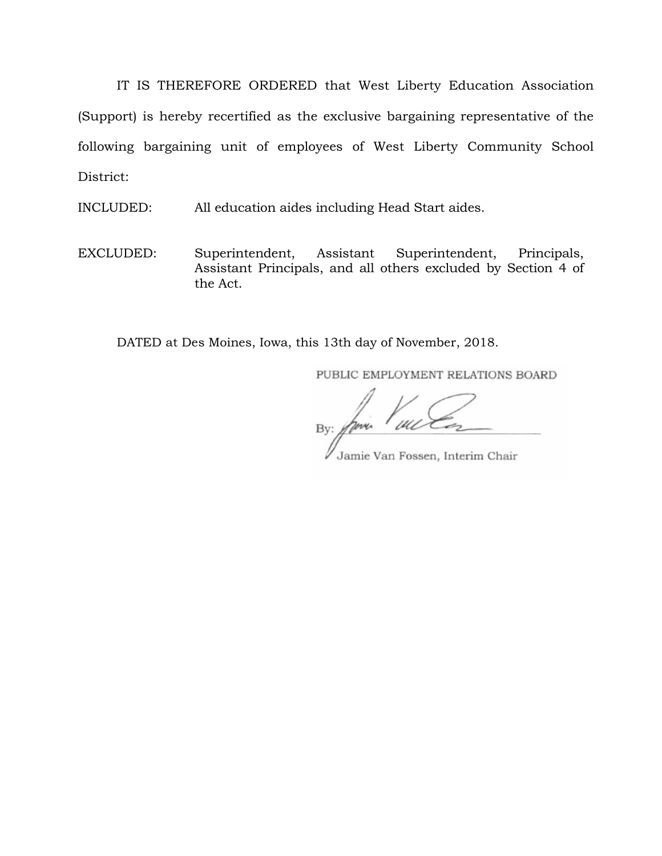IT IS THEREFORE ORDERED that West Liberty Education Association (Support) is hereby recertified as the exclusive bargaining representative of the following bargaining unit of employees of West Liberty Community School District:

INCLUDED: All education aides including Head Start aides.

EXCLUDED: Superintendent, Assistant Superintendent, Principals, Assistant Principals, and all others excluded by Section 4 of the Act.

DATED at Des Moines, Iowa, this 13th day of November, 2018.

PUBLIC EMPLOYMENT RELATIONS BOARD

Bv:

Jamie Van Fossen, Interim Chair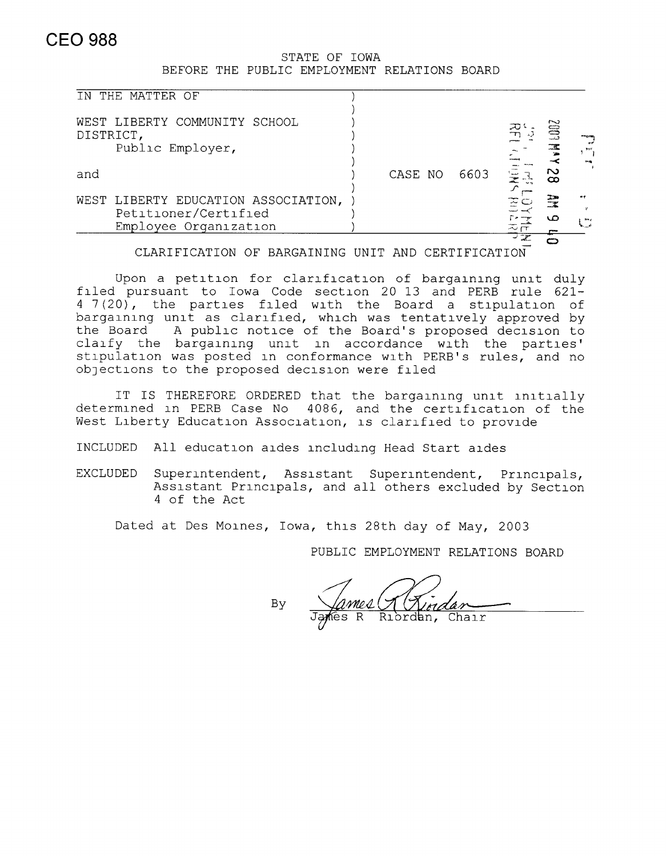# CEO 988

|  | STATE OF IOWA |                                              |  |
|--|---------------|----------------------------------------------|--|
|  |               | BEFORE THE PUBLIC EMPLOYMENT RELATIONS BOARD |  |

| Petitioner/Certified<br>Employee Organization                  |         |      | ιn         | tte g      |
|----------------------------------------------------------------|---------|------|------------|------------|
| WEST LIBERTY EDUCATION ASSOCIATION,                            |         |      |            |            |
| and                                                            | CASE NO | 6603 | ∞          |            |
| WEST LIBERTY COMMUNITY SCHOOL<br>DISTRICT,<br>Public Employer, |         |      | <b>EQD</b> | $\mu$ p in |
|                                                                |         |      |            |            |
| THE MATTER OF<br>TN                                            |         |      |            |            |

CLARIFICATION OF BARGAINING UNIT AND CERTIFICATION

Upon a petition for clarification of bargaining unit duly filed pursuant to Iowa Code section 20 13 and PERB rule 621-4 7(20), the parties filed with the Board a stipulation of bargaining unit as clarified, which was tentatively approved by the Board A public notice of the Board's proposed decision to claify the bargaining unit in accordance with the parties' stipulation was posted in conformance with PERB's rules, and no objections to the proposed decision were filed

IT IS THEREFORE ORDERED that the bargaining unit initially determined in PERB Case No 4086, and the certification of the West Liberty Education Association, is clarified to provide

INCLUDED All education aides including Head Start aides

EXCLUDED Superintendent, Assistant Superintendent, Principals, Assistant Principals, and all others excluded by Section 4 of the Act

Dated at Des Moines, Iowa, this 28th day of May, 2003

PUBLIC EMPLOYMENT RELATIONS BOARD

Riordan,

By